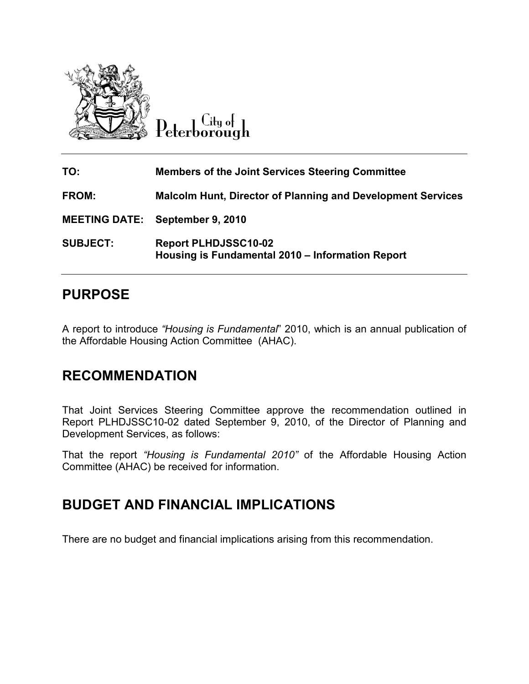

 $\overline{C}$ ity of Peterborough

| TO:             | <b>Members of the Joint Services Steering Committee</b>                         |
|-----------------|---------------------------------------------------------------------------------|
| FROM:           | <b>Malcolm Hunt, Director of Planning and Development Services</b>              |
|                 | <b>MEETING DATE: September 9, 2010</b>                                          |
| <b>SUBJECT:</b> | <b>Report PLHDJSSC10-02</b><br>Housing is Fundamental 2010 - Information Report |

# PURPOSE

A report to introduce "Housing is Fundamental" 2010, which is an annual publication of the Affordable Housing Action Committee (AHAC).

## RECOMMENDATION

That Joint Services Steering Committee approve the recommendation outlined in Report PLHDJSSC10-02 dated September 9, 2010, of the Director of Planning and Development Services, as follows:

That the report "Housing is Fundamental 2010" of the Affordable Housing Action Committee (AHAC) be received for information.

## BUDGET AND FINANCIAL IMPLICATIONS

There are no budget and financial implications arising from this recommendation.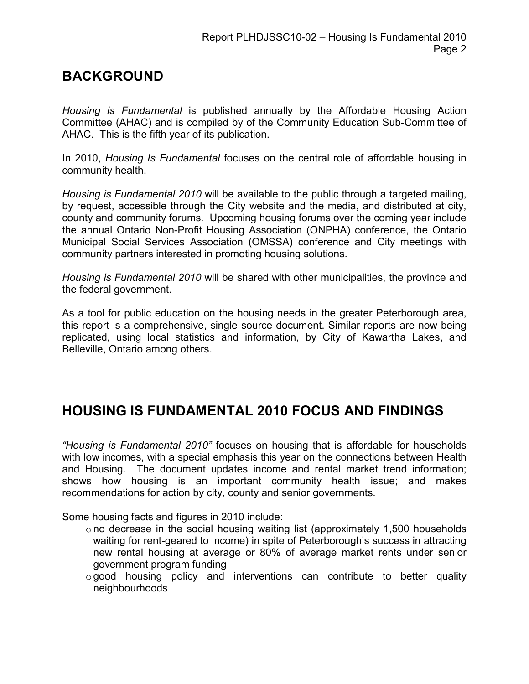# BACKGROUND

Housing is Fundamental is published annually by the Affordable Housing Action Committee (AHAC) and is compiled by of the Community Education Sub-Committee of AHAC. This is the fifth year of its publication.

In 2010, Housing Is Fundamental focuses on the central role of affordable housing in community health.

Housing is Fundamental 2010 will be available to the public through a targeted mailing, by request, accessible through the City website and the media, and distributed at city, county and community forums. Upcoming housing forums over the coming year include the annual Ontario Non-Profit Housing Association (ONPHA) conference, the Ontario Municipal Social Services Association (OMSSA) conference and City meetings with community partners interested in promoting housing solutions.

Housing is Fundamental 2010 will be shared with other municipalities, the province and the federal government.

As a tool for public education on the housing needs in the greater Peterborough area, this report is a comprehensive, single source document. Similar reports are now being replicated, using local statistics and information, by City of Kawartha Lakes, and Belleville, Ontario among others.

## HOUSING IS FUNDAMENTAL 2010 FOCUS AND FINDINGS

"Housing is Fundamental 2010" focuses on housing that is affordable for households with low incomes, with a special emphasis this year on the connections between Health and Housing. The document updates income and rental market trend information; shows how housing is an important community health issue; and makes recommendations for action by city, county and senior governments.

Some housing facts and figures in 2010 include:

- o no decrease in the social housing waiting list (approximately 1,500 households waiting for rent-geared to income) in spite of Peterborough's success in attracting new rental housing at average or 80% of average market rents under senior government program funding
- $\circ$  good housing policy and interventions can contribute to better quality neighbourhoods